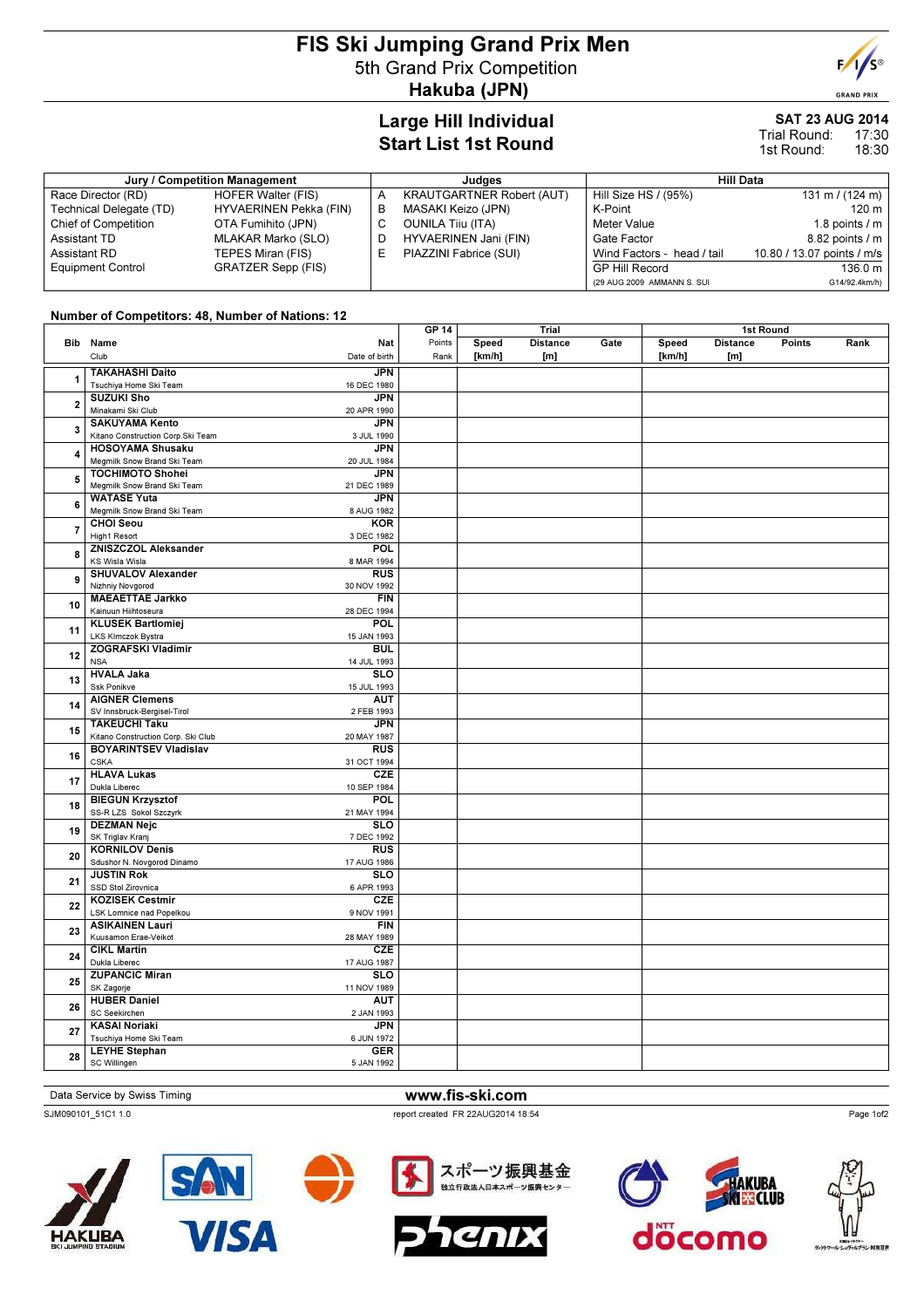# FIS Ski Jumping Grand Prix Men 5th Grand Prix Competition Hakuba (JPN)

## Large Hill Individual Start List 1st Round

# SAT 23 AUG 2014

17:30 18:30 Trial Round: 1st Round:

| Jury / Competition Management |                           | Judaes |                                  | <b>Hill Data</b>           |                            |  |
|-------------------------------|---------------------------|--------|----------------------------------|----------------------------|----------------------------|--|
| Race Director (RD)            | <b>HOFER Walter (FIS)</b> |        | <b>KRAUTGARTNER Robert (AUT)</b> | Hill Size HS / (95%)       | 131 m / $(124 \text{ m})$  |  |
| Technical Delegate (TD)       | HYVAERINEN Pekka (FIN)    | в      | MASAKI Keizo (JPN)               | K-Point                    | 120 m                      |  |
| Chief of Competition          | OTA Fumihito (JPN)        | С      | <b>OUNILA Tiju (ITA)</b>         | Meter Value                | 1.8 points $/m$            |  |
| Assistant TD                  | MLAKAR Marko (SLO)        |        | HYVAERINEN Jani (FIN)            | Gate Factor                | 8.82 points / m            |  |
| Assistant RD                  | TEPES Miran (FIS)         |        | PIAZZINI Fabrice (SUI)           | Wind Factors - head / tail | 10.80 / 13.07 points / m/s |  |
| <b>Equipment Control</b>      | <b>GRATZER Sepp (FIS)</b> |        |                                  | <b>GP Hill Record</b>      | 136.0 m                    |  |
|                               |                           |        |                                  | (29 AUG 2009 AMMANN S. SUI | G14/92.4km/h)              |  |

#### Number of Competitors: 48, Number of Nations: 12

|                         |                                    |                         | GP 14  |        | Trial           |      |        | 1st Round       |               |      |
|-------------------------|------------------------------------|-------------------------|--------|--------|-----------------|------|--------|-----------------|---------------|------|
|                         | Bib Name                           | Nat                     | Points | Speed  | <b>Distance</b> | Gate | Speed  | <b>Distance</b> | <b>Points</b> | Rank |
|                         | Club                               | Date of birth           | Rank   | [km/h] | [m]             |      | [km/h] | [m]             |               |      |
|                         | <b>TAKAHASHI Daito</b>             | <b>JPN</b>              |        |        |                 |      |        |                 |               |      |
| 1                       | Tsuchiya Home Ski Team             | 16 DEC 1980             |        |        |                 |      |        |                 |               |      |
|                         |                                    |                         |        |        |                 |      |        |                 |               |      |
| $\overline{\mathbf{2}}$ | <b>SUZUKI Sho</b>                  | <b>JPN</b>              |        |        |                 |      |        |                 |               |      |
|                         | Minakami Ski Club                  | 20 APR 1990             |        |        |                 |      |        |                 |               |      |
| 3                       | <b>SAKUYAMA Kento</b>              | <b>JPN</b>              |        |        |                 |      |        |                 |               |      |
|                         | Kitano Construction Corp.Ski Team  | 3 JUL 1990              |        |        |                 |      |        |                 |               |      |
| 4                       | <b>HOSOYAMA Shusaku</b>            | <b>JPN</b>              |        |        |                 |      |        |                 |               |      |
|                         | Megmilk Snow Brand Ski Team        | 20 JUL 1984             |        |        |                 |      |        |                 |               |      |
| 5                       | <b>TOCHIMOTO Shohei</b>            | <b>JPN</b>              |        |        |                 |      |        |                 |               |      |
|                         | Megmilk Snow Brand Ski Team        | 21 DEC 1989             |        |        |                 |      |        |                 |               |      |
| 6                       | <b>WATASE Yuta</b>                 | <b>JPN</b>              |        |        |                 |      |        |                 |               |      |
|                         | Megmilk Snow Brand Ski Team        | 8 AUG 1982              |        |        |                 |      |        |                 |               |      |
| 7                       | <b>CHOI Seou</b>                   | KOR                     |        |        |                 |      |        |                 |               |      |
|                         | High1 Resort                       | 3 DEC 1982              |        |        |                 |      |        |                 |               |      |
| 8                       | <b>ZNISZCZOL Aleksander</b>        | <b>POL</b>              |        |        |                 |      |        |                 |               |      |
|                         | <b>KS Wisla Wisla</b>              | 8 MAR 1994              |        |        |                 |      |        |                 |               |      |
| 9                       | <b>SHUVALOV Alexander</b>          | RUS                     |        |        |                 |      |        |                 |               |      |
|                         | Nizhniy Novgorod                   | 30 NOV 1992             |        |        |                 |      |        |                 |               |      |
| 10                      | <b>MAEAETTAE Jarkko</b>            | <b>FIN</b>              |        |        |                 |      |        |                 |               |      |
|                         | Kainuun Hiihtoseura                | 28 DEC 1994             |        |        |                 |      |        |                 |               |      |
|                         | <b>KLUSEK Bartlomiej</b>           | POL                     |        |        |                 |      |        |                 |               |      |
| 11                      | LKS Klmczok Bystra                 | 15 JAN 1993             |        |        |                 |      |        |                 |               |      |
|                         | <b>ZOGRAFSKI Vladimir</b>          | <b>BUL</b>              |        |        |                 |      |        |                 |               |      |
| 12                      | <b>NSA</b>                         | 14 JUL 1993             |        |        |                 |      |        |                 |               |      |
|                         | <b>HVALA Jaka</b>                  | <b>SLO</b>              |        |        |                 |      |        |                 |               |      |
| 13                      | Ssk Ponikve                        | 15 JUL 1993             |        |        |                 |      |        |                 |               |      |
|                         | <b>AIGNER Clemens</b>              | <b>AUT</b>              |        |        |                 |      |        |                 |               |      |
| 14                      | SV Innsbruck-Bergisel-Tirol        | 2 FEB 1993              |        |        |                 |      |        |                 |               |      |
|                         | <b>TAKEUCHI Taku</b>               | <b>JPN</b>              |        |        |                 |      |        |                 |               |      |
| 15                      | Kitano Construction Corp. Ski Club | 20 MAY 1987             |        |        |                 |      |        |                 |               |      |
|                         | <b>BOYARINTSEV Vladislav</b>       | <b>RUS</b>              |        |        |                 |      |        |                 |               |      |
| 16                      | <b>CSKA</b>                        | 31 OCT 1994             |        |        |                 |      |        |                 |               |      |
|                         | <b>HLAVA Lukas</b>                 | <b>CZE</b>              |        |        |                 |      |        |                 |               |      |
| 17                      | Dukla Liberec                      | 10 SEP 1984             |        |        |                 |      |        |                 |               |      |
|                         | <b>BIEGUN Krzysztof</b>            | POL                     |        |        |                 |      |        |                 |               |      |
| 18                      | SS-R LZS Sokol Szczyrk             | 21 MAY 1994             |        |        |                 |      |        |                 |               |      |
|                         | <b>DEZMAN Nejc</b>                 | $\overline{\text{SLO}}$ |        |        |                 |      |        |                 |               |      |
| 19                      | SK Triglav Kranj                   | 7 DEC 1992              |        |        |                 |      |        |                 |               |      |
|                         | <b>KORNILOV Denis</b>              | RUS                     |        |        |                 |      |        |                 |               |      |
| 20                      | Sdushor N. Novgorod Dinamo         | 17 AUG 1986             |        |        |                 |      |        |                 |               |      |
|                         | <b>JUSTIN Rok</b>                  | SLO                     |        |        |                 |      |        |                 |               |      |
| 21                      | SSD Stol Zirovnica                 | 6 APR 1993              |        |        |                 |      |        |                 |               |      |
|                         | <b>KOZISEK Cestmir</b>             | <b>CZE</b>              |        |        |                 |      |        |                 |               |      |
| 22                      | LSK Lomnice nad Popelkou           | 9 NOV 1991              |        |        |                 |      |        |                 |               |      |
|                         | <b>ASIKAINEN Lauri</b>             | <b>FIN</b>              |        |        |                 |      |        |                 |               |      |
| 23                      | Kuusamon Erae-Veikot               | 28 MAY 1989             |        |        |                 |      |        |                 |               |      |
| 24                      | <b>CIKL Martin</b>                 | CZE                     |        |        |                 |      |        |                 |               |      |
|                         | Dukla Liberec                      | 17 AUG 1987             |        |        |                 |      |        |                 |               |      |
|                         | <b>ZUPANCIC Miran</b>              | $\overline{\text{SLO}}$ |        |        |                 |      |        |                 |               |      |
| 25                      | SK Zagorje                         | 11 NOV 1989             |        |        |                 |      |        |                 |               |      |
| 26                      | <b>HUBER Daniel</b>                | <b>AUT</b>              |        |        |                 |      |        |                 |               |      |
|                         | SC Seekirchen                      | 2 JAN 1993              |        |        |                 |      |        |                 |               |      |
|                         | <b>KASAI Noriaki</b>               | <b>JPN</b>              |        |        |                 |      |        |                 |               |      |
| 27                      | Tsuchiya Home Ski Team             | 6 JUN 1972              |        |        |                 |      |        |                 |               |      |
|                         | <b>LEYHE Stephan</b>               | <b>GER</b>              |        |        |                 |      |        |                 |               |      |
| 28                      | SC Willingen                       | 5 JAN 1992              |        |        |                 |      |        |                 |               |      |
|                         |                                    |                         |        |        |                 |      |        |                 |               |      |

### Data Service by Swiss Timing WWW.fis-ski.com

SJM090101\_51C1 1.0 report created FR 22AUG2014 18:54











スポーツ振興基金

独立行政法人日本スポーツ振興センター